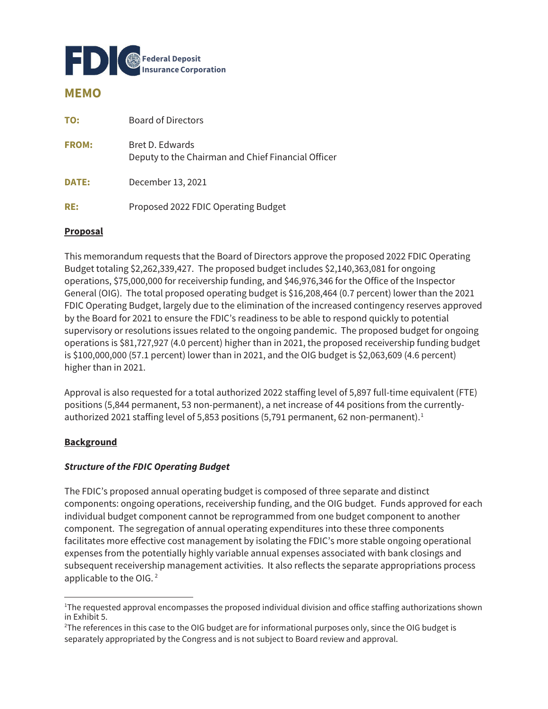

# **MEMO**

| TO:          | Board of Directors                                                    |
|--------------|-----------------------------------------------------------------------|
| <b>FROM:</b> | Bret D. Edwards<br>Deputy to the Chairman and Chief Financial Officer |
| <b>DATE:</b> | December 13, 2021                                                     |
| RE:          | Proposed 2022 FDIC Operating Budget                                   |

#### **Proposal**

This memorandum requests that the Board of Directors approve the proposed 2022 FDIC Operating Budget totaling \$2,262,339,427. The proposed budget includes \$2,140,363,081 for ongoing operations, \$75,000,000 for receivership funding, and \$46,976,346 for the Office of the Inspector General (OIG). The total proposed operating budget is \$16,208,464 (0.7 percent) lower than the 2021 FDIC Operating Budget, largely due to the elimination of the increased contingency reserves approved by the Board for 2021 to ensure the FDIC's readiness to be able to respond quickly to potential supervisory or resolutions issues related to the ongoing pandemic. The proposed budget for ongoing operations is \$81,727,927 (4.0 percent) higher than in 2021, the proposed receivership funding budget is \$100,000,000 (57.1 percent) lower than in 2021, and the OIG budget is \$2,063,609 (4.6 percent) higher than in 2021.

Approval is also requested for a total authorized 2022 staffing level of 5,897 full-time equivalent (FTE) positions (5,844 permanent, 53 non-permanent), a net increase of 44 positions from the currentlyauthorized 2021 staffing level of 5,853 positions (5,791 permanent, 62 non-permanent).<sup>1</sup>

#### **Background**

#### **Structure of the FDIC Operating Budget**

The FDIC's proposed annual operating budget is composed of three separate and distinct components: ongoing operations, receivership funding, and the OIG budget. Funds approved for each individual budget component cannot be reprogrammed from one budget component to another component. The segregation of annual operating expenditures into these three components facilitates more effective cost management by isolating the FDIC's more stable ongoing operational expenses from the potentially highly variable annual expenses associated with bank closings and subsequent receivership management activities. It also reflects the separate appropriations process applicable to the OIG. 2

<sup>1</sup> The requested approval encompasses the proposed individual division and office staffing authorizations shown in Exhibit 5.

<sup>2</sup> The references in this case to the OIG budget are for informational purposes only, since the OIG budget is separately appropriated by the Congress and is not subject to Board review and approval.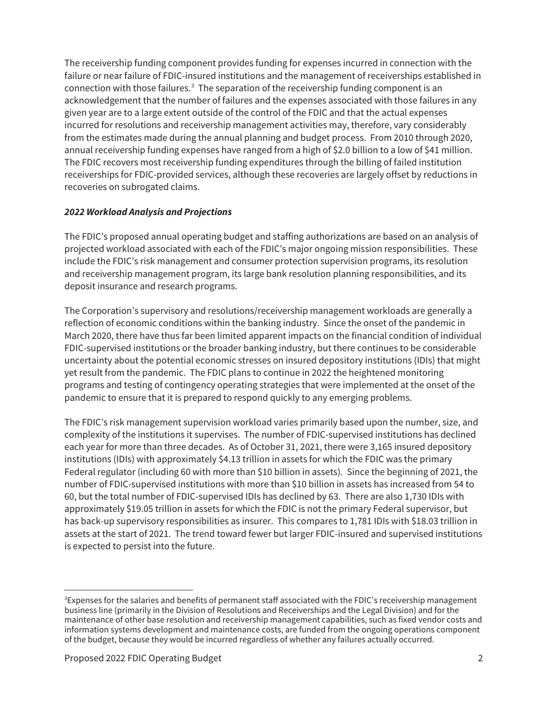The receivership funding component provides funding for expenses incurred in connection with the failure or near failure of FDIC-insured institutions and the management of receiverships established in connection with those failures.<sup>3</sup> The separation of the receivership funding component is an acknowledgement that the number of failures and the expenses associated with those failures in any given year are to a large extent outside of the control of the FDIC and that the actual expenses incurred for resolutions and receivership management activities may, therefore, vary considerably from the estimates made during the annual planning and budget process. From 2010 through 2020, annual receivership funding expenses have ranged from a high of \$2.0 billion to a low of \$41 million. The FDIC recovers most receivership funding expenditures through the billing of failed institution receiverships for FDIC-provided services, although these recoveries are largely offset by reductions in recoveries on subrogated claims.

### **2022 Workload Analysis and Projections**

 The FDIC's proposed annual operating budget and staffing authorizations are based on an analysis of projected workload associated with each of the FDIC's major ongoing mission responsibilities. These include the FDIC's risk management and consumer protection supervision programs, its resolution and receivership management program, its large bank resolution planning responsibilities, and its deposit insurance and research programs.

The Corporation's supervisory and resolutions/receivership management workloads are generally a reflection of economic conditions within the banking industry. Since the onset of the pandemic in March 2020, there have thus far been limited apparent impacts on the financial condition of individual FDIC-supervised institutions or the broader banking industry, but there continues to be considerable uncertainty about the potential economic stresses on insured depository institutions (IDIs) that might yet result from the pandemic. The FDIC plans to continue in 2022 the heightened monitoring programs and testing of contingency operating strategies that were implemented at the onset of the pandemic to ensure that it is prepared to respond quickly to any emerging problems.

 each year for more than three decades. As of October 31, 2021, there were 3,165 insured depository The FDIC's risk management supervision workload varies primarily based upon the number, size, and complexity of the institutions it supervises. The number of FDIC-supervised institutions has declined institutions (IDIs) with approximately \$4.13 trillion in assets for which the FDIC was the primary Federal regulator (including 60 with more than \$10 billion in assets). Since the beginning of 2021, the number of FDIC-supervised institutions with more than \$10 billion in assets has increased from 54 to 60, but the total number of FDIC-supervised IDIs has declined by 63. There are also 1,730 IDIs with approximately \$19.05 trillion in assets for which the FDIC is not the primary Federal supervisor, but has back-up supervisory responsibilities as insurer. This compares to 1,781 IDIs with \$18.03 trillion in assets at the start of 2021. The trend toward fewer but larger FDIC-insured and supervised institutions is expected to persist into the future.

<sup>3</sup> Expenses for the salaries and benefits of permanent staff associated with the FDIC's receivership management business line (primarily in the Division of Resolutions and Receiverships and the Legal Division) and for the maintenance of other base resolution and receivership management capabilities, such as fixed vendor costs and information systems development and maintenance costs, are funded from the ongoing operations component of the budget, because they would be incurred regardless of whether any failures actually occurred.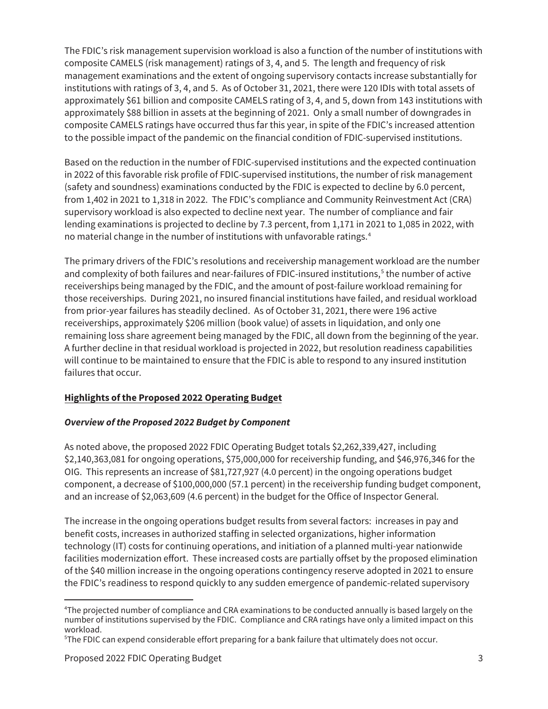The FDIC's risk management supervision workload is also a function of the number of institutions with composite CAMELS (risk management) ratings of 3, 4, and 5. The length and frequency of risk management examinations and the extent of ongoing supervisory contacts increase substantially for institutions with ratings of 3, 4, and 5. As of October 31, 2021, there were 120 IDIs with total assets of approximately \$61 billion and composite CAMELS rating of 3, 4, and 5, down from 143 institutions with approximately \$88 billion in assets at the beginning of 2021. Only a small number of downgrades in composite CAMELS ratings have occurred thus far this year, in spite of the FDIC's increased attention to the possible impact of the pandemic on the financial condition of FDIC-supervised institutions.

Based on the reduction in the number of FDIC-supervised institutions and the expected continuation in 2022 of this favorable risk profile of FDIC-supervised institutions, the number of risk management (safety and soundness) examinations conducted by the FDIC is expected to decline by 6.0 percent, from 1,402 in 2021 to 1,318 in 2022. The FDIC's compliance and Community Reinvestment Act (CRA) supervisory workload is also expected to decline next year. The number of compliance and fair lending examinations is projected to decline by 7.3 percent, from 1,171 in 2021 to 1,085 in 2022, with no material change in the number of institutions with unfavorable ratings.4

 from prior-year failures has steadily declined. As of October 31, 2021, there were 196 active receiverships, approximately \$206 million (book value) of assets in liquidation, and only one The primary drivers of the FDIC's resolutions and receivership management workload are the number and complexity of both failures and near-failures of FDIC-insured institutions,<sup>5</sup> the number of active receiverships being managed by the FDIC, and the amount of post-failure workload remaining for those receiverships. During 2021, no insured financial institutions have failed, and residual workload remaining loss share agreement being managed by the FDIC, all down from the beginning of the year. A further decline in that residual workload is projected in 2022, but resolution readiness capabilities will continue to be maintained to ensure that the FDIC is able to respond to any insured institution failures that occur.

# **Highlights of the Proposed 2022 Operating Budget**

# **Overview of the Proposed 2022 Budget by Component**

As noted above, the proposed 2022 FDIC Operating Budget totals \$2,262,339,427, including \$2,140,363,081 for ongoing operations, \$75,000,000 for receivership funding, and \$46,976,346 for the OIG. This represents an increase of \$81,727,927 (4.0 percent) in the ongoing operations budget component, a decrease of \$100,000,000 (57.1 percent) in the receivership funding budget component, and an increase of \$2,063,609 (4.6 percent) in the budget for the Office of Inspector General.

 The increase in the ongoing operations budget results from several factors: increases in pay and benefit costs, increases in authorized staffing in selected organizations, higher information technology (IT) costs for continuing operations, and initiation of a planned multi-year nationwide facilities modernization effort. These increased costs are partially offset by the proposed elimination of the \$40 million increase in the ongoing operations contingency reserve adopted in 2021 to ensure the FDIC's readiness to respond quickly to any sudden emergence of pandemic-related supervisory

<sup>4</sup> The projected number of compliance and CRA examinations to be conducted annually is based largely on the number of institutions supervised by the FDIC. Compliance and CRA ratings have only a limited impact on this workload.

<sup>5</sup> The FDIC can expend considerable effort preparing for a bank failure that ultimately does not occur.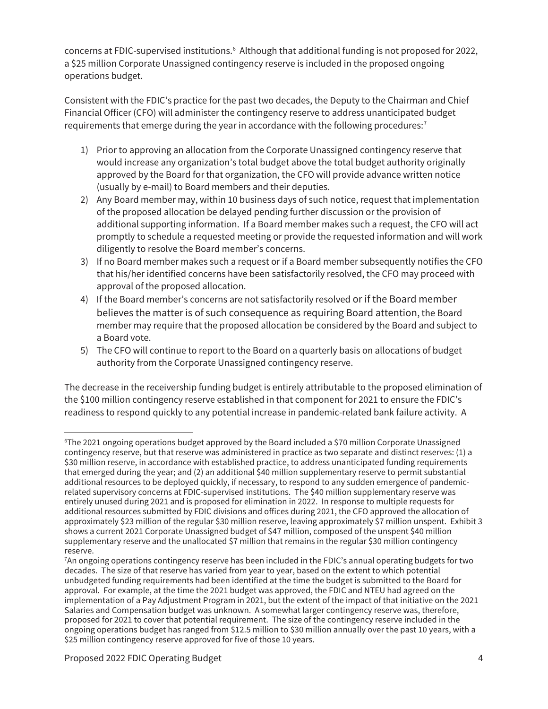concerns at FDIC-supervised institutions.<sup>6</sup> Although that additional funding is not proposed for 2022, a \$25 million Corporate Unassigned contingency reserve is included in the proposed ongoing operations budget.

Consistent with the FDIC's practice for the past two decades, the Deputy to the Chairman and Chief Financial Officer (CFO) will administer the contingency reserve to address unanticipated budget requirements that emerge during the year in accordance with the following procedures: $<sup>7</sup>$ </sup>

- 1) Prior to approving an allocation from the Corporate Unassigned contingency reserve that would increase any organization's total budget above the total budget authority originally approved by the Board for that organization, the CFO will provide advance written notice (usually by e-mail) to Board members and their deputies.
- 2) Any Board member may, within 10 business days of such notice, request that implementation of the proposed allocation be delayed pending further discussion or the provision of additional supporting information. If a Board member makes such a request, the CFO will act promptly to schedule a requested meeting or provide the requested information and will work diligently to resolve the Board member's concerns.
- 3) If no Board member makes such a request or if a Board member subsequently notifies the CFO that his/her identified concerns have been satisfactorily resolved, the CFO may proceed with approval of the proposed allocation.
- 4) If the Board member's concerns are not satisfactorily resolved or if the Board member believes the matter is of such consequence as requiring Board attention, the Board member may require that the proposed allocation be considered by the Board and subject to a Board vote.
- 5) The CFO will continue to report to the Board on a quarterly basis on allocations of budget authority from the Corporate Unassigned contingency reserve.

The decrease in the receivership funding budget is entirely attributable to the proposed elimination of the \$100 million contingency reserve established in that component for 2021 to ensure the FDIC's readiness to respond quickly to any potential increase in pandemic-related bank failure activity. A

<sup>6</sup> The 2021 ongoing operations budget approved by the Board included a \$70 million Corporate Unassigned contingency reserve, but that reserve was administered in practice as two separate and distinct reserves: (1) a \$30 million reserve, in accordance with established practice, to address unanticipated funding requirements that emerged during the year; and (2) an additional \$40 million supplementary reserve to permit substantial additional resources to be deployed quickly, if necessary, to respond to any sudden emergence of pandemicrelated supervisory concerns at FDIC-supervised institutions. The \$40 million supplementary reserve was entirely unused during 2021 and is proposed for elimination in 2022. In response to multiple requests for additional resources submitted by FDIC divisions and offices during 2021, the CFO approved the allocation of approximately \$23 million of the regular \$30 million reserve, leaving approximately \$7 million unspent. Exhibit 3 shows a current 2021 Corporate Unassigned budget of \$47 million, composed of the unspent \$40 million supplementary reserve and the unallocated \$7 million that remains in the regular \$30 million contingency reserve.

<sup>7</sup> An ongoing operations contingency reserve has been included in the FDIC's annual operating budgets for two decades. The size of that reserve has varied from year to year, based on the extent to which potential unbudgeted funding requirements had been identified at the time the budget is submitted to the Board for approval. For example, at the time the 2021 budget was approved, the FDIC and NTEU had agreed on the implementation of a Pay Adjustment Program in 2021, but the extent of the impact of that initiative on the 2021 Salaries and Compensation budget was unknown. A somewhat larger contingency reserve was, therefore, proposed for 2021 to cover that potential requirement. The size of the contingency reserve included in the ongoing operations budget has ranged from \$12.5 million to \$30 million annually over the past 10 years, with a \$25 million contingency reserve approved for five of those 10 years.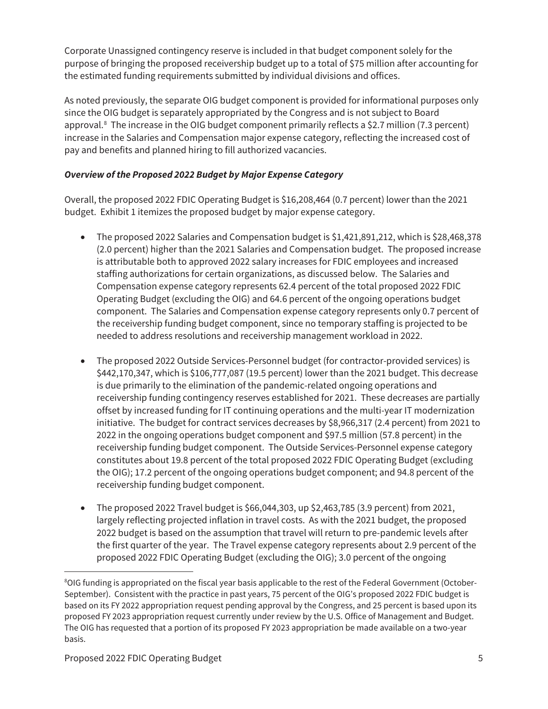Corporate Unassigned contingency reserve is included in that budget component solely for the purpose of bringing the proposed receivership budget up to a total of \$75 million after accounting for the estimated funding requirements submitted by individual divisions and offices.

As noted previously, the separate OIG budget component is provided for informational purposes only since the OIG budget is separately appropriated by the Congress and is not subject to Board approval.8 The increase in the OIG budget component primarily reflects a \$2.7 million (7.3 percent) increase in the Salaries and Compensation major expense category, reflecting the increased cost of pay and benefits and planned hiring to fill authorized vacancies.

# **Overview of the Proposed 2022 Budget by Major Expense Category**

Overall, the proposed 2022 FDIC Operating Budget is \$16,208,464 (0.7 percent) lower than the 2021 budget. Exhibit 1 itemizes the proposed budget by major expense category.

- The proposed 2022 Salaries and Compensation budget is  $$1,421,891,212$ , which is  $$28,468,378$ (2.0 percent) higher than the 2021 Salaries and Compensation budget. The proposed increase is attributable both to approved 2022 salary increases for FDIC employees and increased staffing authorizations for certain organizations, as discussed below. The Salaries and Compensation expense category represents 62.4 percent of the total proposed 2022 FDIC Operating Budget (excluding the OIG) and 64.6 percent of the ongoing operations budget component. The Salaries and Compensation expense category represents only 0.7 percent of the receivership funding budget component, since no temporary staffing is projected to be needed to address resolutions and receivership management workload in 2022.
- The proposed 2022 Outside Services-Personnel budget (for contractor-provided services) is \$442,170,347, which is \$106,777,087 (19.5 percent) lower than the 2021 budget. This decrease is due primarily to the elimination of the pandemic-related ongoing operations and receivership funding contingency reserves established for 2021. These decreases are partially offset by increased funding for IT continuing operations and the multi-year IT modernization initiative. The budget for contract services decreases by \$8,966,317 (2.4 percent) from 2021 to 2022 in the ongoing operations budget component and \$97.5 million (57.8 percent) in the receivership funding budget component. The Outside Services-Personnel expense category constitutes about 19.8 percent of the total proposed 2022 FDIC Operating Budget (excluding the OIG); 17.2 percent of the ongoing operations budget component; and 94.8 percent of the receivership funding budget component.
- The proposed 2022 Travel budget is  $$66,044,303$ , up  $$2,463,785$  (3.9 percent) from 2021, largely reflecting projected inflation in travel costs. As with the 2021 budget, the proposed 2022 budget is based on the assumption that travel will return to pre-pandemic levels after the first quarter of the year. The Travel expense category represents about 2.9 percent of the proposed 2022 FDIC Operating Budget (excluding the OIG); 3.0 percent of the ongoing

 $^8$ OIG funding is appropriated on the fiscal year basis applicable to the rest of the Federal Government (October-September). Consistent with the practice in past years, 75 percent of the OIG's proposed 2022 FDIC budget is based on its FY 2022 appropriation request pending approval by the Congress, and 25 percent is based upon its proposed FY 2023 appropriation request currently under review by the U.S. Office of Management and Budget. The OIG has requested that a portion of its proposed FY 2023 appropriation be made available on a two-year basis.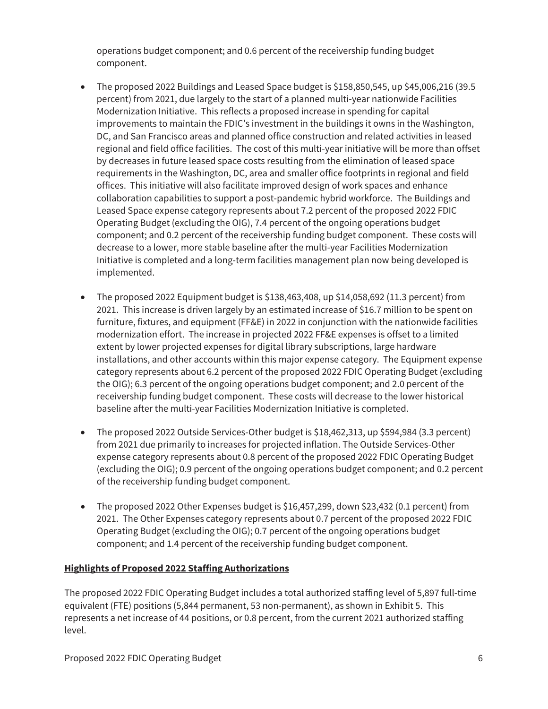operations budget component; and 0.6 percent of the receivership funding budget component.

- $\bullet$  The proposed 2022 Buildings and Leased Space budget is \$158,850,545, up \$45,006,216 (39.5) percent) from 2021, due largely to the start of a planned multi-year nationwide Facilities Modernization Initiative. This reflects a proposed increase in spending for capital improvements to maintain the FDIC's investment in the buildings it owns in the Washington, DC, and San Francisco areas and planned office construction and related activities in leased regional and field office facilities. The cost of this multi-year initiative will be more than offset by decreases in future leased space costs resulting from the elimination of leased space requirements in the Washington, DC, area and smaller office footprints in regional and field offices. This initiative will also facilitate improved design of work spaces and enhance collaboration capabilities to support a post-pandemic hybrid workforce. The Buildings and Leased Space expense category represents about 7.2 percent of the proposed 2022 FDIC Operating Budget (excluding the OIG), 7.4 percent of the ongoing operations budget component; and 0.2 percent of the receivership funding budget component. These costs will decrease to a lower, more stable baseline after the multi-year Facilities Modernization Initiative is completed and a long-term facilities management plan now being developed is implemented.
- The proposed 2022 Equipment budget is  $$138,463,408$ , up  $$14,058,692$  (11.3 percent) from 2021. This increase is driven largely by an estimated increase of \$16.7 million to be spent on furniture, fixtures, and equipment (FF&E) in 2022 in conjunction with the nationwide facilities modernization effort. The increase in projected 2022 FF&E expenses is offset to a limited extent by lower projected expenses for digital library subscriptions, large hardware installations, and other accounts within this major expense category. The Equipment expense category represents about 6.2 percent of the proposed 2022 FDIC Operating Budget (excluding the OIG); 6.3 percent of the ongoing operations budget component; and 2.0 percent of the receivership funding budget component. These costs will decrease to the lower historical baseline after the multi-year Facilities Modernization Initiative is completed.
- The proposed 2022 Outside Services-Other budget is  $$18,462,313$ , up  $$594,984$  (3.3 percent) from 2021 due primarily to increases for projected inflation. The Outside Services-Other expense category represents about 0.8 percent of the proposed 2022 FDIC Operating Budget (excluding the OIG); 0.9 percent of the ongoing operations budget component; and 0.2 percent of the receivership funding budget component.
- The proposed 2022 Other Expenses budget is  $$16,457,299$ , down  $$23,432$  (0.1 percent) from 2021. The Other Expenses category represents about 0.7 percent of the proposed 2022 FDIC Operating Budget (excluding the OIG); 0.7 percent of the ongoing operations budget component; and 1.4 percent of the receivership funding budget component.

#### **Highlights of Proposed 2022 Staffing Authorizations**

The proposed 2022 FDIC Operating Budget includes a total authorized staffing level of 5,897 full-time equivalent (FTE) positions (5,844 permanent, 53 non-permanent), as shown in Exhibit 5. This represents a net increase of 44 positions, or 0.8 percent, from the current 2021 authorized staffing level.<br>Proposed 2022 FDIC Operating Budget 6<br>Froposed 2022 FDIC Operating Budget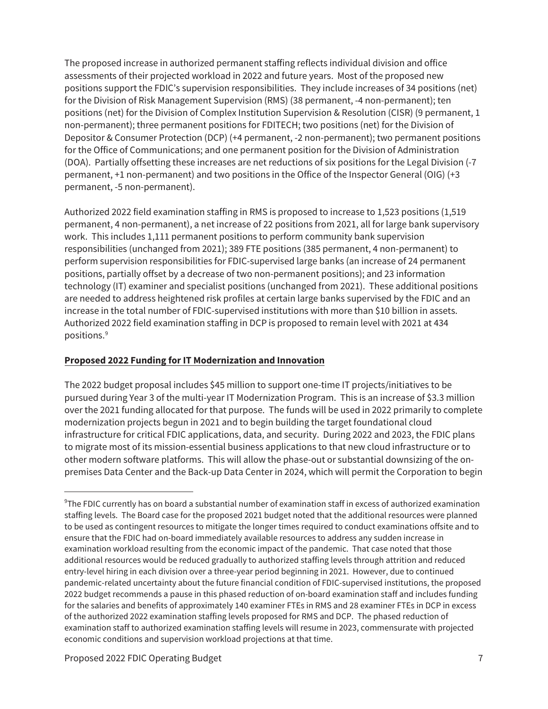The proposed increase in authorized permanent staffing reflects individual division and office assessments of their projected workload in 2022 and future years. Most of the proposed new positions support the FDIC's supervision responsibilities. They include increases of 34 positions (net) for the Division of Risk Management Supervision (RMS) (38 permanent, -4 non-permanent); ten positions (net) for the Division of Complex Institution Supervision & Resolution (CISR) (9 permanent, 1 non-permanent); three permanent positions for FDITECH; two positions (net) for the Division of Depositor & Consumer Protection (DCP) (+4 permanent, -2 non-permanent); two permanent positions for the Office of Communications; and one permanent position for the Division of Administration (DOA). Partially offsetting these increases are net reductions of six positions for the Legal Division (-7 permanent, +1 non-permanent) and two positions in the Office of the Inspector General (OIG) (+3 permanent, -5 non-permanent).

 perform supervision responsibilities for FDIC-supervised large banks (an increase of 24 permanent positions, partially offset by a decrease of two non-permanent positions); and 23 information Authorized 2022 field examination staffing in RMS is proposed to increase to 1,523 positions (1,519 permanent, 4 non-permanent), a net increase of 22 positions from 2021, all for large bank supervisory work. This includes 1,111 permanent positions to perform community bank supervision responsibilities (unchanged from 2021); 389 FTE positions (385 permanent, 4 non-permanent) to technology (IT) examiner and specialist positions (unchanged from 2021). These additional positions are needed to address heightened risk profiles at certain large banks supervised by the FDIC and an increase in the total number of FDIC-supervised institutions with more than \$10 billion in assets. Authorized 2022 field examination staffing in DCP is proposed to remain level with 2021 at 434 positions.9

### **Proposed 2022 Funding for IT Modernization and Innovation**

The 2022 budget proposal includes \$45 million to support one-time IT projects/initiatives to be pursued during Year 3 of the multi-year IT Modernization Program. This is an increase of \$3.3 million over the 2021 funding allocated for that purpose. The funds will be used in 2022 primarily to complete modernization projects begun in 2021 and to begin building the target foundational cloud infrastructure for critical FDIC applications, data, and security. During 2022 and 2023, the FDIC plans to migrate most of its mission-essential business applications to that new cloud infrastructure or to other modern software platforms. This will allow the phase-out or substantial downsizing of the onpremises Data Center and the Back-up Data Center in 2024, which will permit the Corporation to begin

economic conditions and supervision workload projections at that time.<br>Proposed 2022 FDIC Operating Budget  $^9$ The FDIC currently has on board a substantial number of examination staff in excess of authorized examination staffing levels. The Board case for the proposed 2021 budget noted that the additional resources were planned to be used as contingent resources to mitigate the longer times required to conduct examinations offsite and to ensure that the FDIC had on-board immediately available resources to address any sudden increase in examination workload resulting from the economic impact of the pandemic. That case noted that those additional resources would be reduced gradually to authorized staffing levels through attrition and reduced entry-level hiring in each division over a three-year period beginning in 2021. However, due to continued pandemic-related uncertainty about the future financial condition of FDIC-supervised institutions, the proposed 2022 budget recommends a pause in this phased reduction of on-board examination staff and includes funding for the salaries and benefits of approximately 140 examiner FTEs in RMS and 28 examiner FTEs in DCP in excess of the authorized 2022 examination staffing levels proposed for RMS and DCP. The phased reduction of examination staff to authorized examination staffing levels will resume in 2023, commensurate with projected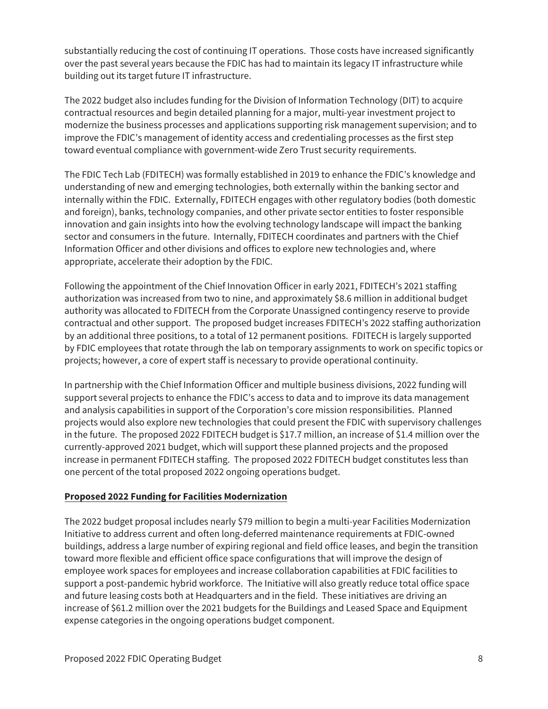substantially reducing the cost of continuing IT operations. Those costs have increased significantly over the past several years because the FDIC has had to maintain its legacy IT infrastructure while building out its target future IT infrastructure.

The 2022 budget also includes funding for the Division of Information Technology (DIT) to acquire contractual resources and begin detailed planning for a major, multi-year investment project to modernize the business processes and applications supporting risk management supervision; and to improve the FDIC's management of identity access and credentialing processes as the first step toward eventual compliance with government-wide Zero Trust security requirements.

The FDIC Tech Lab (FDITECH) was formally established in 2019 to enhance the FDIC's knowledge and understanding of new and emerging technologies, both externally within the banking sector and internally within the FDIC. Externally, FDITECH engages with other regulatory bodies (both domestic and foreign), banks, technology companies, and other private sector entities to foster responsible innovation and gain insights into how the evolving technology landscape will impact the banking sector and consumers in the future. Internally, FDITECH coordinates and partners with the Chief Information Officer and other divisions and offices to explore new technologies and, where appropriate, accelerate their adoption by the FDIC.

Following the appointment of the Chief Innovation Officer in early 2021, FDITECH's 2021 staffing authorization was increased from two to nine, and approximately \$8.6 million in additional budget authority was allocated to FDITECH from the Corporate Unassigned contingency reserve to provide contractual and other support. The proposed budget increases FDITECH's 2022 staffing authorization by an additional three positions, to a total of 12 permanent positions. FDITECH is largely supported by FDIC employees that rotate through the lab on temporary assignments to work on specific topics or projects; however, a core of expert staff is necessary to provide operational continuity.

In partnership with the Chief Information Officer and multiple business divisions, 2022 funding will support several projects to enhance the FDIC's access to data and to improve its data management and analysis capabilities in support of the Corporation's core mission responsibilities. Planned projects would also explore new technologies that could present the FDIC with supervisory challenges in the future. The proposed 2022 FDITECH budget is \$17.7 million, an increase of \$1.4 million over the currently-approved 2021 budget, which will support these planned projects and the proposed increase in permanent FDITECH staffing. The proposed 2022 FDITECH budget constitutes less than one percent of the total proposed 2022 ongoing operations budget.

# **Proposed 2022 Funding for Facilities Modernization**

 buildings, address a large number of expiring regional and field office leases, and begin the transition expense categories in the ongoing operations budget component.<br>Proposed 2022 FDIC Operating Budget 8 The 2022 budget proposal includes nearly \$79 million to begin a multi-year Facilities Modernization Initiative to address current and often long-deferred maintenance requirements at FDIC-owned toward more flexible and efficient office space configurations that will improve the design of employee work spaces for employees and increase collaboration capabilities at FDIC facilities to support a post-pandemic hybrid workforce. The Initiative will also greatly reduce total office space and future leasing costs both at Headquarters and in the field. These initiatives are driving an increase of \$61.2 million over the 2021 budgets for the Buildings and Leased Space and Equipment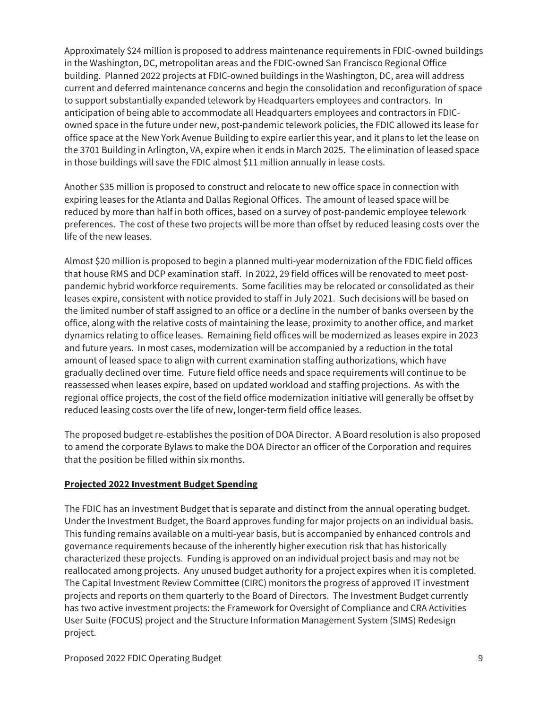Approximately \$24 million is proposed to address maintenance requirements in FDIC-owned buildings in the Washington, DC, metropolitan areas and the FDIC-owned San Francisco Regional Office building. Planned 2022 projects at FDIC-owned buildings in the Washington, DC, area will address current and deferred maintenance concerns and begin the consolidation and reconfiguration of space to support substantially expanded telework by Headquarters employees and contractors. In anticipation of being able to accommodate all Headquarters employees and contractors in FDICowned space in the future under new, post-pandemic telework policies, the FDIC allowed its lease for office space at the New York Avenue Building to expire earlier this year, and it plans to let the lease on the 3701 Building in Arlington, VA, expire when it ends in March 2025. The elimination of leased space in those buildings will save the FDIC almost \$11 million annually in lease costs.

Another \$35 million is proposed to construct and relocate to new office space in connection with expiring leases for the Atlanta and Dallas Regional Offices. The amount of leased space will be reduced by more than half in both offices, based on a survey of post-pandemic employee telework preferences. The cost of these two projects will be more than offset by reduced leasing costs over the life of the new leases.

Almost \$20 million is proposed to begin a planned multi-year modernization of the FDIC field offices that house RMS and DCP examination staff. In 2022, 29 field offices will be renovated to meet postpandemic hybrid workforce requirements. Some facilities may be relocated or consolidated as their leases expire, consistent with notice provided to staff in July 2021. Such decisions will be based on the limited number of staff assigned to an office or a decline in the number of banks overseen by the office, along with the relative costs of maintaining the lease, proximity to another office, and market dynamics relating to office leases. Remaining field offices will be modernized as leases expire in 2023 and future years. In most cases, modernization will be accompanied by a reduction in the total amount of leased space to align with current examination staffing authorizations, which have gradually declined over time. Future field office needs and space requirements will continue to be reassessed when leases expire, based on updated workload and staffing projections. As with the regional office projects, the cost of the field office modernization initiative will generally be offset by reduced leasing costs over the life of new, longer-term field office leases.

The proposed budget re-establishes the position of DOA Director. A Board resolution is also proposed to amend the corporate Bylaws to make the DOA Director an officer of the Corporation and requires that the position be filled within six months.

#### **Projected 2022 Investment Budget Spending**

The FDIC has an Investment Budget that is separate and distinct from the annual operating budget. Under the Investment Budget, the Board approves funding for major projects on an individual basis. This funding remains available on a multi-year basis, but is accompanied by enhanced controls and governance requirements because of the inherently higher execution risk that has historically characterized these projects. Funding is approved on an individual project basis and may not be reallocated among projects. Any unused budget authority for a project expires when it is completed. The Capital Investment Review Committee (CIRC) monitors the progress of approved IT investment projects and reports on them quarterly to the Board of Directors. The Investment Budget currently has two active investment projects: the Framework for Oversight of Compliance and CRA Activities User Suite (FOCUS) project and the Structure Information Management System (SIMS) Redesign project.